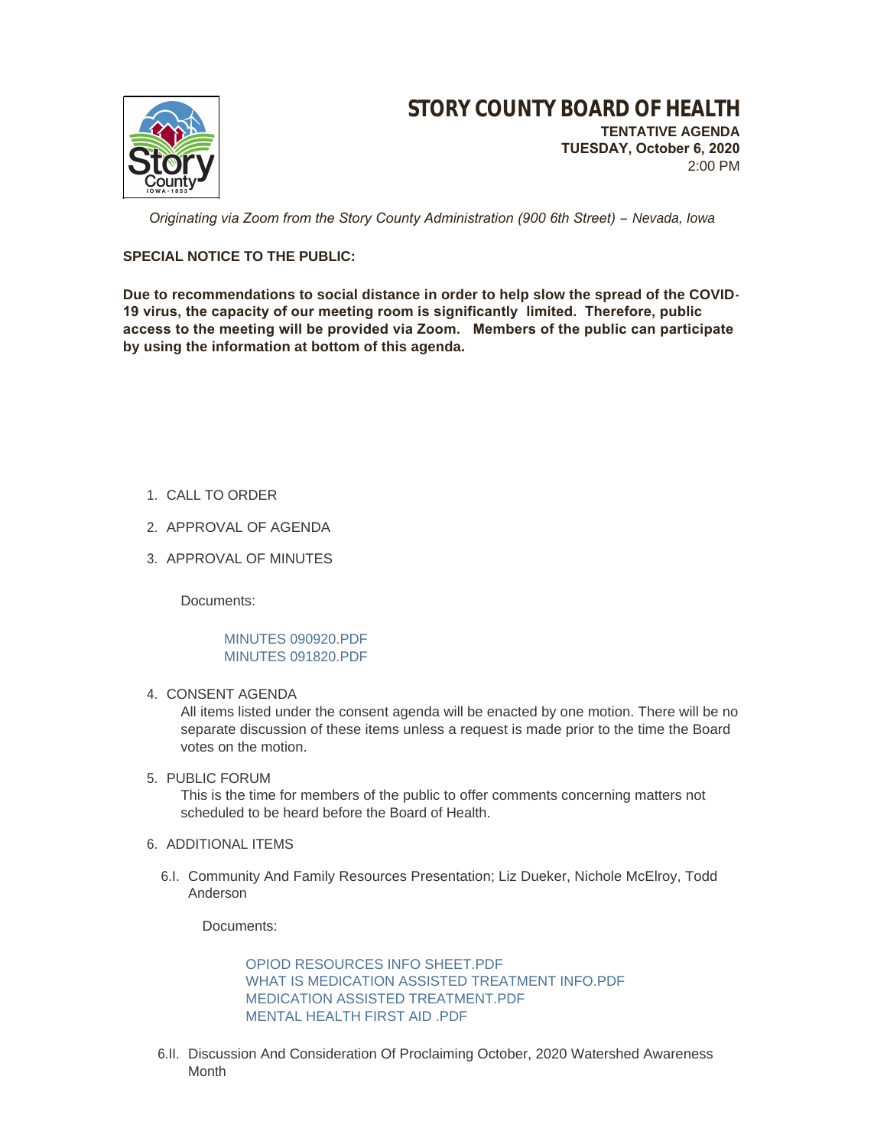

 *Originating via Zoom from the Story County Administration (900 6th Street) – Nevada, Iowa*

# **SPECIAL NOTICE TO THE PUBLIC:**

**Due to recommendations to social distance in order to help slow the spread of the COVID-19 virus, the capacity of our meeting room is significantly limited. Therefore, public access to the meeting will be provided via Zoom. Members of the public can participate by using the information at bottom of this agenda.**

- 1. CALL TO ORDER
- 2. APPROVAL OF AGENDA
- 3. APPROVAL OF MINUTES

Documents:

# [MINUTES 090920.PDF](http://www.storycountyiowa.gov/AgendaCenter/ViewFile/Item/19169?fileID=14530) [MINUTES 091820.PDF](http://www.storycountyiowa.gov/AgendaCenter/ViewFile/Item/19169?fileID=14531)

4. CONSENT AGENDA

All items listed under the consent agenda will be enacted by one motion. There will be no separate discussion of these items unless a request is made prior to the time the Board votes on the motion.

5. PUBLIC FORUM

This is the time for members of the public to offer comments concerning matters not scheduled to be heard before the Board of Health.

- 6. ADDITIONAL ITEMS
	- 6.I. Community And Family Resources Presentation; Liz Dueker, Nichole McElroy, Todd Anderson

Documents:

[OPIOD RESOURCES INFO SHEET.PDF](http://www.storycountyiowa.gov/AgendaCenter/ViewFile/Item/18999?fileID=14446) [WHAT IS MEDICATION ASSISTED TREATMENT INFO.PDF](http://www.storycountyiowa.gov/AgendaCenter/ViewFile/Item/18999?fileID=14448) [MEDICATION ASSISTED TREATMENT.PDF](http://www.storycountyiowa.gov/AgendaCenter/ViewFile/Item/18999?fileID=14494) MENTAL HEALTH FIRST AID PDF

6.II. Discussion And Consideration Of Proclaiming October, 2020 Watershed Awareness Month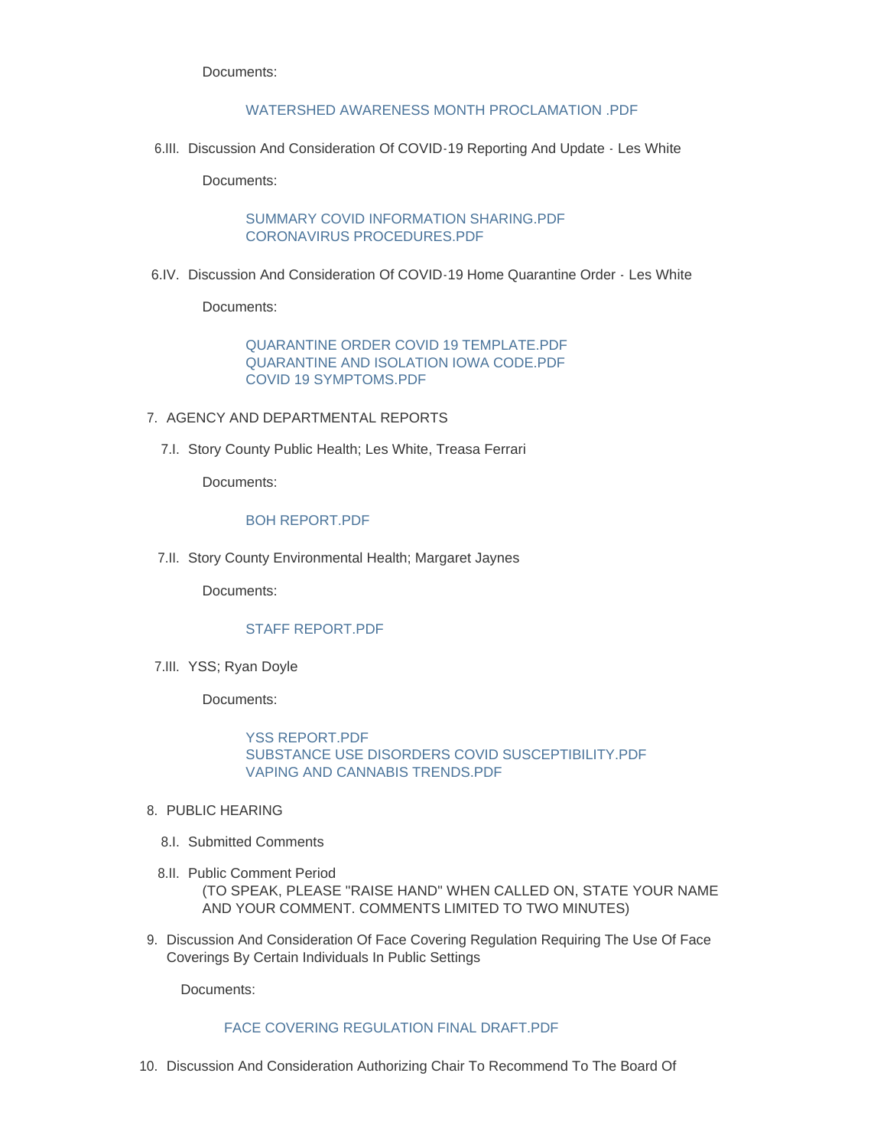Documents:

### [WATERSHED AWARENESS MONTH PROCLAMATION .PDF](http://www.storycountyiowa.gov/AgendaCenter/ViewFile/Item/19004?fileID=14452)

6.III. Discussion And Consideration Of COVID-19 Reporting And Update - Les White

Documents:

[SUMMARY COVID INFORMATION SHARING.PDF](http://www.storycountyiowa.gov/AgendaCenter/ViewFile/Item/19153?fileID=14517) [CORONAVIRUS PROCEDURES.PDF](http://www.storycountyiowa.gov/AgendaCenter/ViewFile/Item/19153?fileID=14518)

6.IV. Discussion And Consideration Of COVID-19 Home Quarantine Order - Les White

Documents:

[QUARANTINE ORDER COVID 19 TEMPLATE.PDF](http://www.storycountyiowa.gov/AgendaCenter/ViewFile/Item/19124?fileID=14515) [QUARANTINE AND ISOLATION IOWA CODE.PDF](http://www.storycountyiowa.gov/AgendaCenter/ViewFile/Item/19124?fileID=14516) [COVID 19 SYMPTOMS.PDF](http://www.storycountyiowa.gov/AgendaCenter/ViewFile/Item/19124?fileID=14514)

- 7. AGENCY AND DEPARTMENTAL REPORTS
	- 7.I. Story County Public Health; Les White, Treasa Ferrari

Documents:

### [BOH REPORT.PDF](http://www.storycountyiowa.gov/AgendaCenter/ViewFile/Item/19170?fileID=14533)

7.II. Story County Environmental Health; Margaret Jaynes

Documents:

## [STAFF REPORT.PDF](http://www.storycountyiowa.gov/AgendaCenter/ViewFile/Item/19158?fileID=14521)

7.III. YSS; Ryan Doyle

Documents:

[YSS REPORT.PDF](http://www.storycountyiowa.gov/AgendaCenter/ViewFile/Item/19165?fileID=14525) [SUBSTANCE USE DISORDERS COVID SUSCEPTIBILITY.PDF](http://www.storycountyiowa.gov/AgendaCenter/ViewFile/Item/19165?fileID=14526) [VAPING AND CANNABIS TRENDS.PDF](http://www.storycountyiowa.gov/AgendaCenter/ViewFile/Item/19165?fileID=14527)

- 8. PUBLIC HEARING
	- Submitted Comments 8.I.
- 8.II. Public Comment Period (TO SPEAK, PLEASE "RAISE HAND" WHEN CALLED ON, STATE YOUR NAME AND YOUR COMMENT. COMMENTS LIMITED TO TWO MINUTES)
- 9. Discussion And Consideration Of Face Covering Regulation Requiring The Use Of Face Coverings By Certain Individuals In Public Settings

Documents:

# [FACE COVERING REGULATION FINAL DRAFT.PDF](http://www.storycountyiowa.gov/AgendaCenter/ViewFile/Item/19125?fileID=14513)

10. Discussion And Consideration Authorizing Chair To Recommend To The Board Of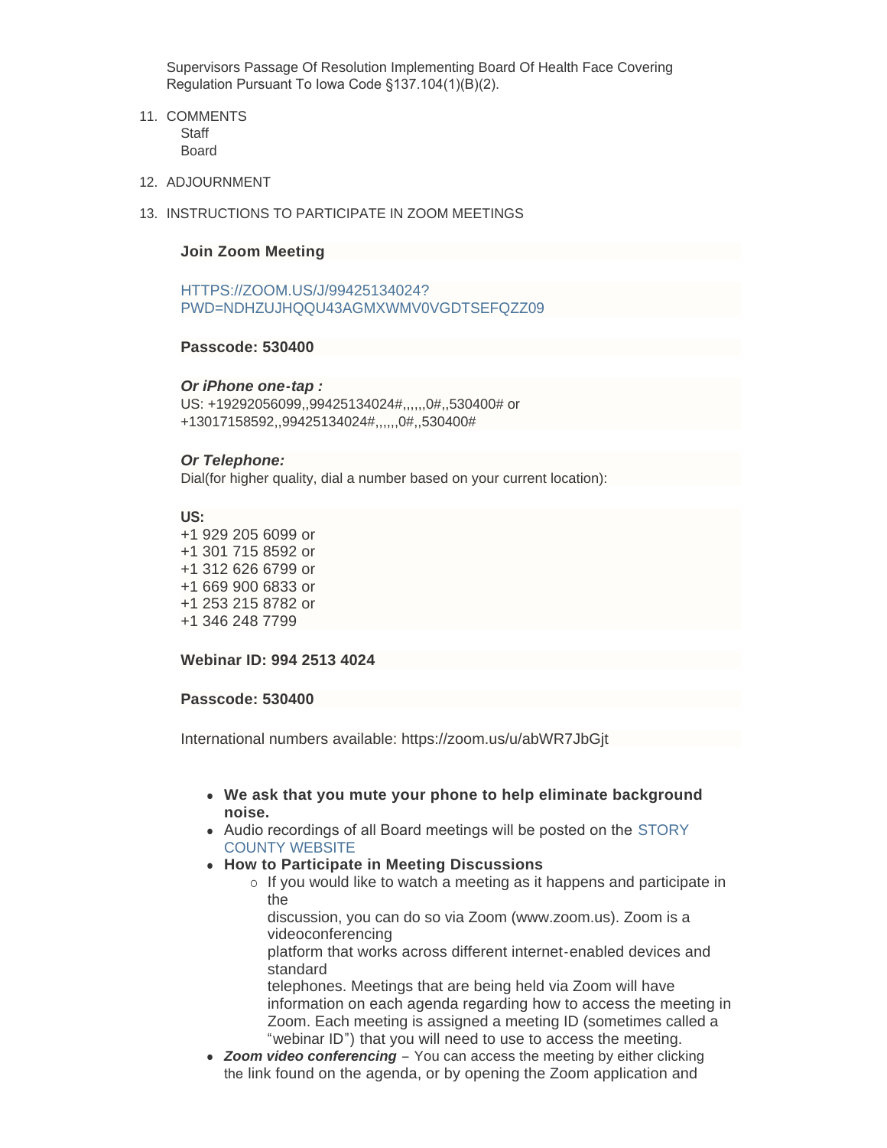Supervisors Passage Of Resolution Implementing Board Of Health Face Covering Regulation Pursuant To Iowa Code §137.104(1)(B)(2).

- 11. COMMENTS **Staff** Board
- 12. ADJOURNMENT
- 13. INSTRUCTIONS TO PARTICIPATE IN ZOOM MEETINGS

### **Join Zoom Meeting**

HTTPS://ZOOM.US/J/99425134024? [PWD=NDHZUJHQQU43AGMXWMV0VGDTSEFQZZ09](https://zoom.us/j/99425134024?pwd=NDhZUjhQQU43aGMxWmV0VGdTSEFQZz09)

## **Passcode: 530400**

#### *Or iPhone one-tap :*

US: +19292056099,,99425134024#,,,,,,0#,,530400# or +13017158592,,99425134024#,,,,,,0#,,530400#

### *Or Telephone:*

Dial(for higher quality, dial a number based on your current location):

#### **US:**

+1 929 205 6099 or +1 301 715 8592 or +1 312 626 6799 or +1 669 900 6833 or +1 253 215 8782 or +1 346 248 7799

**Webinar ID: 994 2513 4024**

#### **Passcode: 530400**

International numbers available: https://zoom.us/u/abWR7JbGjt

- <sup>l</sup> **We ask that you mute your phone to help eliminate background noise.**
- Audio recordings of all Board meetings will be posted on the STORY COUNTY WEBSITE
- **How to Participate in Meeting Discussions** 
	- $\circ$  If you would like to watch a meeting as it happens and participate in the

discussion, you can do so via Zoom (www.zoom.us). Zoom is a videoconferencing

platform that works across different internet-enabled devices and standard

telephones. Meetings that are being held via Zoom will have information on each agenda regarding how to access the meeting in Zoom. Each meeting is assigned a meeting ID (sometimes called a "webinar ID") that you will need to use to access the meeting.

• **Zoom video conferencing** – You can access the meeting by either clicking the link found on the agenda, or by opening the Zoom application and